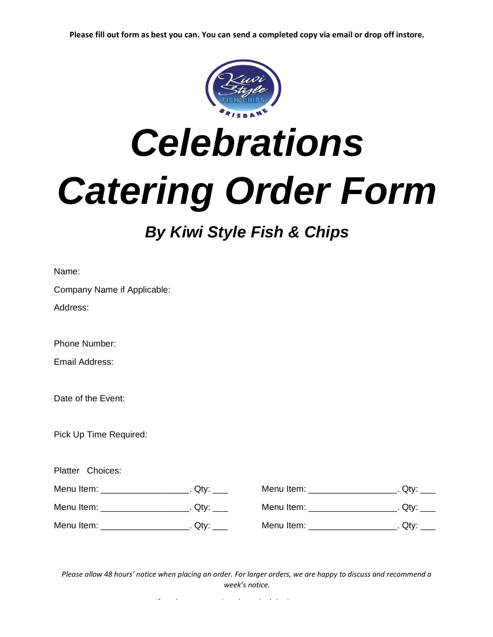**Please fill out form as best you can. You can send a completed copy via email or drop off instore.**



## *Celebrations Catering Order Form*

*By Kiwi Style Fish & Chips*

Name:

Company Name if Applicable:

Address:

Phone Number:

Email Address:

Date of the Event:

Pick Up Time Required:

Platter Choices:

| Menu Item: | Qtv: | Menu Item: | Otv∵ |
|------------|------|------------|------|
| Menu Item: | Otv: | Menu Item: | Otv: |
| Menu Item: | Otv: | Menu Item: | Otv: |

*Please allow 48 hours' notice when placing an order. For larger orders, we are happy to discuss and recommend a week's notice.*

*If you have any queries, please don't hesitate to contact.*